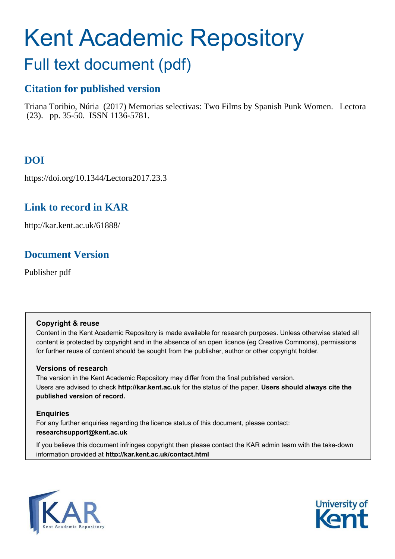# Kent Academic Repository Full text document (pdf)

# **Citation for published version**

Triana Toribio, Núria (2017) Memorias selectivas: Two Films by Spanish Punk Women. Lectora (23). pp. 35-50. ISSN 1136-5781.

# **DOI**

https://doi.org/10.1344/Lectora2017.23.3

# **Link to record in KAR**

http://kar.kent.ac.uk/61888/

# **Document Version**

Publisher pdf

# **Copyright & reuse**

Content in the Kent Academic Repository is made available for research purposes. Unless otherwise stated all content is protected by copyright and in the absence of an open licence (eg Creative Commons), permissions for further reuse of content should be sought from the publisher, author or other copyright holder.

# **Versions of research**

The version in the Kent Academic Repository may differ from the final published version. Users are advised to check **http://kar.kent.ac.uk** for the status of the paper. **Users should always cite the published version of record.**

# **Enquiries**

For any further enquiries regarding the licence status of this document, please contact: **researchsupport@kent.ac.uk**

If you believe this document infringes copyright then please contact the KAR admin team with the take-down information provided at **http://kar.kent.ac.uk/contact.html**



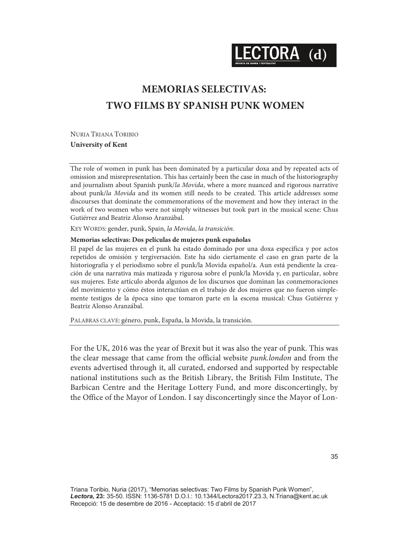ECTORA (d)

# **MEMORIAS SELECTIVAS: TWO FILMS BY SPANISH PUNK WOMEN**

NURIA TRIANA TORIBIO **University of Kent** 

The role of women in punk has been dominated by a particular doxa and by repeated acts of omission and misrepresentation. This has certainly been the case in much of the historiography and journalism about Spanish punk/la Movida, where a more nuanced and rigorous narrative about punk/la Movida and its women still needs to be created. This article addresses some discourses that dominate the commemorations of the movement and how they interact in the work of two women who were not simply witnesses but took part in the musical scene: Chus Gutiérrez and Beatriz Alonso Aranzábal.

KEY WORDS: gender, punk, Spain, la Movida, la transición.

#### **Memorias selectivas: Dos películas de mujeres punk españolas**

El papel de las mujeres en el punk ha estado dominado por una doxa específica y por actos repetidos de omisión y tergiversación. Este ha sido ciertamente el caso en gran parte de la historiografía y el periodismo sobre el punk/la Movida español/a. Aun está pendiente la creación de una narrativa más matizada y rigurosa sobre el punk/la Movida y, en particular, sobre sus mujeres. Este artículo aborda algunos de los discursos que dominan las conmemoraciones del movimiento y cómo éstos interactúan en el trabajo de dos mujeres que no fueron simplemente testigos de la época sino que tomaron parte en la escena musical: Chus Gutiérrez y Beatriz Alonso Aranzábal.

PALABRAS CLAVE: género, punk, España, la Movida, la transición.

For the UK, 2016 was the year of Brexit but it was also the year of punk. This was the clear message that came from the official website punk.london and from the events advertised through it, all curated, endorsed and supported by respectable national institutions such as the British Library, the British Film Institute, The Barbican Centre and the Heritage Lottery Fund, and more disconcertingly, by the Office of the Mayor of London. I say disconcertingly since the Mayor of Lon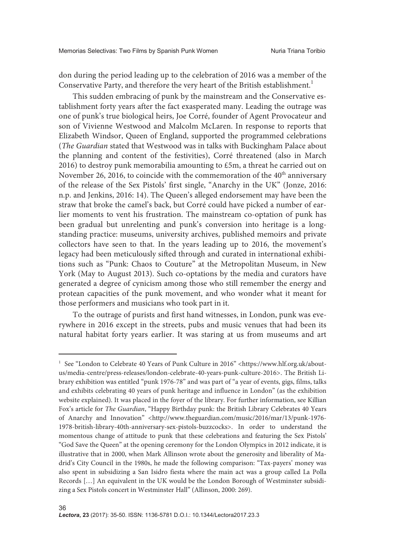don during the period leading up to the celebration of 2016 was a member of the Conservative Party, and therefore the very heart of the British establishment.<sup>1</sup>

This sudden embracing of punk by the mainstream and the Conservative establishment forty years after the fact exasperated many. Leading the outrage was one of punk's true biological heirs, Joe Corré, founder of Agent Provocateur and son of Vivienne Westwood and Malcolm McLaren. In response to reports that Elizabeth Windsor, Queen of England, supported the programmed celebrations (The Guardian stated that Westwood was in talks with Buckingham Palace about the planning and content of the festivities), Corré threatened (also in March 2016) to destroy punk memorabilia amounting to £5m, a threat he carried out on November 26, 2016, to coincide with the commemoration of the 40<sup>th</sup> anniversary of the release of the Sex Pistols' first single, "Anarchy in the UK" (Jonze, 2016: n.p. and Jenkins, 2016: 14). The Queen's alleged endorsement may have been the straw that broke the camel's back, but Corré could have picked a number of earlier moments to vent his frustration. The mainstream co-optation of punk has been gradual but unrelenting and punk's conversion into heritage is a longstanding practice: museums, university archives, published memoirs and private collectors have seen to that. In the years leading up to 2016, the movement's legacy had been meticulously sifted through and curated in international exhibitions such as "Punk: Chaos to Couture" at the Metropolitan Museum, in New York (May to August 2013). Such co-optations by the media and curators have generated a degree of cynicism among those who still remember the energy and protean capacities of the punk movement, and who wonder what it meant for those performers and musicians who took part in it.

To the outrage of purists and first hand witnesses, in London, punk was everywhere in 2016 except in the streets, pubs and music venues that had been its natural habitat forty years earlier. It was staring at us from museums and art

<sup>&</sup>lt;sup>1</sup> See "London to Celebrate 40 Years of Punk Culture in 2016" <https://www.hlf.org.uk/aboutus/media-centre/press-releases/london-celebrate-40-years-punk-culture-2016>. The British Library exhibition was entitled "punk 1976-78" and was part of "a year of events, gigs, films, talks and exhibits celebrating 40 years of punk heritage and influence in London" (as the exhibition website explained). It was placed in the foyer of the library. For further information, see Killian Fox's article for The Guardian, "Happy Birthday punk: the British Library Celebrates 40 Years of Anarchy and Innovation" <http://www.theguardian.com/music/2016/mar/13/punk-1976-1978-british-library-40th-anniversary-sex-pistols-buzzcocks>. In order to understand the momentous change of attitude to punk that these celebrations and featuring the Sex Pistols' "God Save the Queen" at the opening ceremony for the London Olympics in 2012 indicate, it is illustrative that in 2000, when Mark Allinson wrote about the generosity and liberality of Madrid's City Council in the 1980s, he made the following comparison: "Tax-payers' money was also spent in subsidizing a San Isidro fiesta where the main act was a group called La Polla Records […] An equivalent in the UK would be the London Borough of Westminster subsidizing a Sex Pistols concert in Westminster Hall" (Allinson, 2000: 269).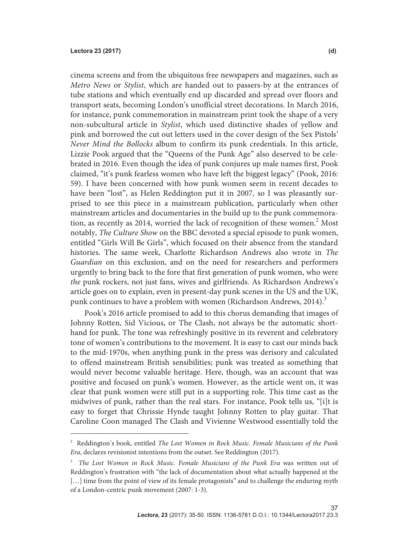cinema screens and from the ubiquitous free newspapers and magazines, such as Metro News or Stylist, which are handed out to passers-by at the entrances of tube stations and which eventually end up discarded and spread over floors and transport seats, becoming London's unofficial street decorations. In March 2016, for instance, punk commemoration in mainstream print took the shape of a very non-subcultural article in Stylist, which used distinctive shades of yellow and pink and borrowed the cut out letters used in the cover design of the Sex Pistols' Never Mind the Bollocks album to confirm its punk credentials. In this article, Lizzie Pook argued that the "Queens of the Punk Age" also deserved to be celebrated in 2016. Even though the idea of punk conjures up male names first, Pook claimed, "it's punk fearless women who have left the biggest legacy" (Pook, 2016: 59). I have been concerned with how punk women seem in recent decades to have been "lost", as Helen Reddington put it in 2007, so I was pleasantly surprised to see this piece in a mainstream publication, particularly when other mainstream articles and documentaries in the build up to the punk commemoration, as recently as 2014, worried the lack of recognition of these women.<sup>2</sup> Most notably, The Culture Show on the BBC devoted a special episode to punk women, entitled "Girls Will Be Girls", which focused on their absence from the standard histories. The same week, Charlotte Richardson Andrews also wrote in The Guardian on this exclusion, and on the need for researchers and performers urgently to bring back to the fore that first generation of punk women, who were the punk rockers, not just fans, wives and girlfriends. As Richardson Andrews's article goes on to explain, even in present-day punk scenes in the US and the UK, punk continues to have a problem with women (Richardson Andrews, 2014).<sup>3</sup>

Pook's 2016 article promised to add to this chorus demanding that images of Johnny Rotten, Sid Vicious, or The Clash, not always be the automatic shorthand for punk. The tone was refreshingly positive in its reverent and celebratory tone of women's contributions to the movement. It is easy to cast our minds back to the mid-1970s, when anything punk in the press was derisory and calculated to offend mainstream British sensibilities; punk was treated as something that would never become valuable heritage. Here, though, was an account that was positive and focused on punk's women. However, as the article went on, it was clear that punk women were still put in a supporting role. This time cast as the midwives of punk, rather than the real stars. For instance, Pook tells us, "[i]t is easy to forget that Chrissie Hynde taught Johnny Rotten to play guitar. That Caroline Coon managed The Clash and Vivienne Westwood essentially told the 

<sup>&</sup>lt;sup>2</sup> Reddington's book, entitled The Lost Women in Rock Music. Female Musicians of the Punk Era, declares revisionist intentions from the outset. See Reddington (2017).

<sup>3</sup> The Lost Women in Rock Music. Female Musicians of the Punk Era was written out of Reddington's frustration with "the lack of documentation about what actually happened at the [...] time from the point of view of its female protagonists" and to challenge the enduring myth of a London-centric punk movement (2007: 1-3).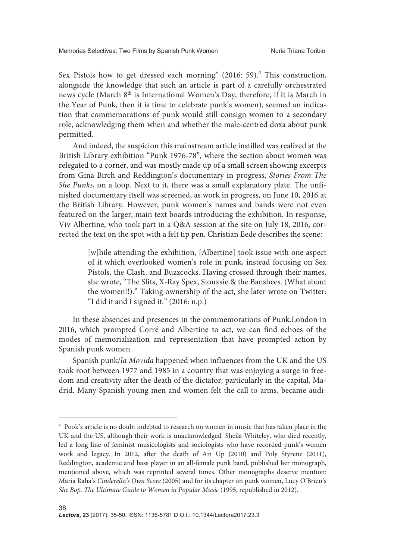Sex Pistols how to get dressed each morning" (2016: 59).<sup>4</sup> This construction, alongside the knowledge that such an article is part of a carefully orchestrated news cycle (March 8<sup>th</sup> is International Women's Day, therefore, if it is March in the Year of Punk, then it is time to celebrate punk's women), seemed an indication that commemorations of punk would still consign women to a secondary role, acknowledging them when and whether the male-centred doxa about punk permitted.

And indeed, the suspicion this mainstream article instilled was realized at the British Library exhibition "Punk 1976-78", where the section about women was relegated to a corner, and was mostly made up of a small screen showing excerpts from Gina Birch and Reddington's documentary in progress, Stories From The She Punks, on a loop. Next to it, there was a small explanatory plate. The unfinished documentary itself was screened, as work in progress, on June 10, 2016 at the British Library. However, punk women's names and bands were not even featured on the larger, main text boards introducing the exhibition. In response, Viv Albertine, who took part in a Q&A session at the site on July 18, 2016, corrected the text on the spot with a felt tip pen. Christian Eede describes the scene:

> [w]hile attending the exhibition, [Albertine] took issue with one aspect of it which overlooked women's role in punk, instead focusing on Sex Pistols, the Clash, and Buzzcocks. Having crossed through their names, she wrote, "The Slits, X-Ray Spex, Siouxsie & the Banshees. (What about the women!!)." Taking ownership of the act, she later wrote on Twitter: "I did it and I signed it." (2016: n.p.)

In these absences and presences in the commemorations of Punk.London in 2016, which prompted Corré and Albertine to act, we can find echoes of the modes of memorialization and representation that have prompted action by Spanish punk women.

Spanish punk/la Movida happened when influences from the UK and the US took root between 1977 and 1985 in a country that was enjoying a surge in freedom and creativity after the death of the dictator, particularly in the capital, Madrid. Many Spanish young men and women felt the call to arms, became audi-

<sup>4</sup> Pook's article is no doubt indebted to research on women in music that has taken place in the UK and the US, although their work is unacknowledged. Sheila Whiteley, who died recently, led a long line of feminist musicologists and sociologists who have recorded punk's women work and legacy. In 2012, after the death of Ari Up (2010) and Poly Styrene (2011), Reddington, academic and bass player in an all-female punk band, published her monograph, mentioned above, which was reprinted several times. Other monographs deserve mention: Maria Raha's Cinderella's Own Score (2005) and for its chapter on punk women, Lucy O'Brien's She Bop. The Ultimate Guide to Women in Popular Music (1995, republished in 2012).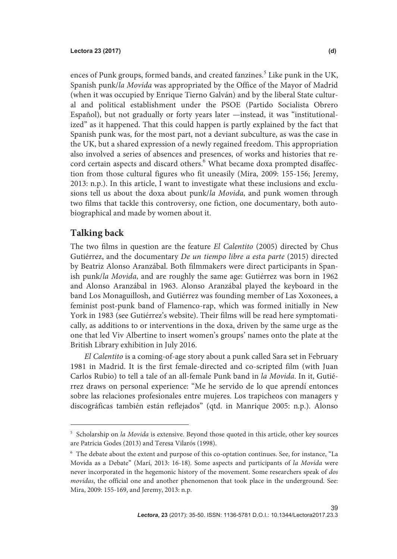ences of Punk groups, formed bands, and created fanzines.<sup>5</sup> Like punk in the UK, Spanish punk/la Movida was appropriated by the Office of the Mayor of Madrid (when it was occupied by Enrique Tierno Galván) and by the liberal State cultural and political establishment under the PSOE (Partido Socialista Obrero Español), but not gradually or forty years later —instead, it was "institutionalized" as it happened. That this could happen is partly explained by the fact that Spanish punk was, for the most part, not a deviant subculture, as was the case in the UK, but a shared expression of a newly regained freedom. This appropriation also involved a series of absences and presences, of works and histories that record certain aspects and discard others.  $\stackrel{6}{\cdot}$  What became doxa prompted disaffection from those cultural figures who fit uneasily (Mira, 2009: 155-156; Jeremy, 2013: n.p.). In this article, I want to investigate what these inclusions and exclusions tell us about the doxa about punk/la Movida, and punk women through two films that tackle this controversy, one fiction, one documentary, both autobiographical and made by women about it.

### **Talking back**

The two films in question are the feature El Calentito (2005) directed by Chus Gutiérrez, and the documentary De un tiempo libre a esta parte (2015) directed by Beatriz Alonso Aranzábal. Both filmmakers were direct participants in Spanish punk/la Movida, and are roughly the same age: Gutiérrez was born in 1962 and Alonso Aranzábal in 1963. Alonso Aranzábal played the keyboard in the band Los Monaguillosh, and Gutiérrez was founding member of Las Xoxonees, a feminist post-punk band of Flamenco-rap, which was formed initially in New York in 1983 (see Gutiérrez's website). Their films will be read here symptomatically, as additions to or interventions in the doxa, driven by the same urge as the one that led Viv Albertine to insert women's groups' names onto the plate at the British Library exhibition in July 2016.

El Calentito is a coming-of-age story about a punk called Sara set in February 1981 in Madrid. It is the first female-directed and co-scripted film (with Juan Carlos Rubio) to tell a tale of an all-female Punk band in la Movida. In it, Gutiérrez draws on personal experience: "Me he servido de lo que aprendí entonces sobre las relaciones profesionales entre mujeres. Los trapicheos con managers y discográficas también están reflejados" (qtd. in Manrique 2005: n.p.). Alonso

<sup>&</sup>lt;sup>5</sup> Scholarship on la Movida is extensive. Beyond those quoted in this article, other key sources are Patricia Godes (2013) and Teresa Vilarós (1998).

<sup>6</sup> The debate about the extent and purpose of this co-optation continues. See, for instance, "La Movida as a Debate" (Marí, 2013: 16-18). Some aspects and participants of la Movida were never incorporated in the hegemonic history of the movement. Some researchers speak of dos movidas, the official one and another phenomenon that took place in the underground. See: Mira, 2009: 155-169, and Jeremy, 2013: n.p.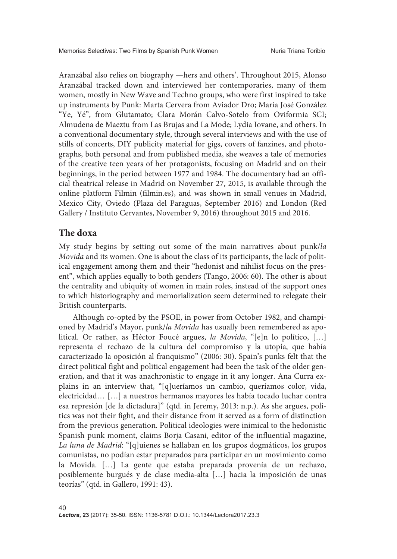Aranzábal also relies on biography —hers and others'. Throughout 2015, Alonso Aranzábal tracked down and interviewed her contemporaries, many of them women, mostly in New Wave and Techno groups, who were first inspired to take up instruments by Punk: Marta Cervera from Aviador Dro; María José González "Ye, Yé", from Glutamato; Clara Morán Calvo-Sotelo from Oviformia SCI; Almudena de Maeztu from Las Brujas and La Mode; Lydia Iovane, and others. In a conventional documentary style, through several interviews and with the use of stills of concerts, DIY publicity material for gigs, covers of fanzines, and photographs, both personal and from published media, she weaves a tale of memories of the creative teen years of her protagonists, focusing on Madrid and on their beginnings, in the period between 1977 and 1984. The documentary had an official theatrical release in Madrid on November 27, 2015, is available through the online platform Filmin (filmin.es), and was shown in small venues in Madrid, Mexico City, Oviedo (Plaza del Paraguas, September 2016) and London (Red Gallery / Instituto Cervantes, November 9, 2016) throughout 2015 and 2016.

### **The doxa**

My study begins by setting out some of the main narratives about punk/la Movida and its women. One is about the class of its participants, the lack of political engagement among them and their "hedonist and nihilist focus on the present", which applies equally to both genders (Tango, 2006: 60). The other is about the centrality and ubiquity of women in main roles, instead of the support ones to which historiography and memorialization seem determined to relegate their British counterparts.

Although co-opted by the PSOE, in power from October 1982, and championed by Madrid's Mayor, punk/la Movida has usually been remembered as apolitical. Or rather, as Héctor Foucé argues, la Movida, "[e]n lo político, […] representa el rechazo de la cultura del compromiso y la utopía, que había caracterizado la oposición al franquismo" (2006: 30). Spain's punks felt that the direct political fight and political engagement had been the task of the older generation, and that it was anachronistic to engage in it any longer. Ana Curra explains in an interview that, "[q]ueríamos un cambio, queríamos color, vida, electricidad… […] a nuestros hermanos mayores les había tocado luchar contra esa represión [de la dictadura]" (qtd. in Jeremy, 2013: n.p.). As she argues, politics was not their fight, and their distance from it served as a form of distinction from the previous generation. Political ideologies were inimical to the hedonistic Spanish punk moment, claims Borja Casani, editor of the influential magazine, La luna de Madrid: "[q]uienes se hallaban en los grupos dogmáticos, los grupos comunistas, no podían estar preparados para participar en un movimiento como la Movida. […] La gente que estaba preparada provenía de un rechazo, posiblemente burgués y de clase media-alta […] hacia la imposición de unas teorías" (qtd. in Gallero, 1991: 43).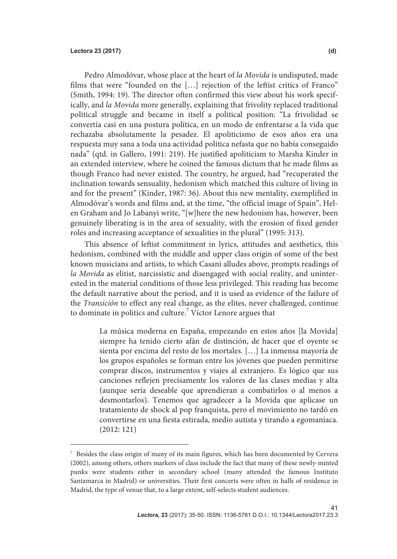Pedro Almodóvar, whose place at the heart of la Movida is undisputed, made films that were "founded on the […] rejection of the leftist critics of Franco" (Smith, 1994: 19). The director often confirmed this view about his work specifically, and la Movida more generally, explaining that frivolity replaced traditional political struggle and became in itself a political position: "La frivolidad se convertía casi en una postura política, en un modo de enfrentarse a la vida que rechazaba absolutamente la pesadez. El apoliticismo de esos años era una respuesta muy sana a toda una actividad política nefasta que no había conseguido nada" (qtd. in Gallero, 1991: 219). He justified apoliticism to Marsha Kinder in an extended interview, where he coined the famous dictum that he made films as though Franco had never existed. The country, he argued, had "recuperated the inclination towards sensuality, hedonism which matched this culture of living in and for the present" (Kinder, 1987: 36). About this new mentality, exemplified in Almodóvar's words and films and, at the time, "the official image of Spain", Helen Graham and Jo Labanyi write, "[w]here the new hedonism has, however, been genuinely liberating is in the area of sexuality, with the erosion of fixed gender roles and increasing acceptance of sexualities in the plural" (1995: 313).

This absence of leftist commitment in lyrics, attitudes and aesthetics, this hedonism, combined with the middle and upper class origin of some of the best known musicians and artists, to which Casani alludes above, prompts readings of la Movida as elitist, narcissistic and disengaged with social reality, and uninterested in the material conditions of those less privileged. This reading has become the default narrative about the period, and it is used as evidence of the failure of the Transición to effect any real change, as the elites, never challenged, continue to dominate in politics and culture.<sup>7</sup> Víctor Lenore argues that

> La música moderna en España, empezando en estos años [la Movida] siempre ha tenido cierto afán de distinción, de hacer que el oyente se sienta por encima del resto de los mortales. […] La inmensa mayoría de los grupos españoles se forman entre los jóvenes que pueden permitirse comprar discos, instrumentos y viajes al extranjero. Es lógico que sus canciones reflejen precisamente los valores de las clases medias y alta (aunque sería deseable que aprendieran a combatirlos o al menos a desmontarlos). Tenemos que agradecer a la Movida que aplicase un tratamiento de shock al pop franquista, pero el movimiento no tardó en convertirse en una fiesta estirada, medio autista y tirando a egomaníaca. (2012: 121)

<sup>7</sup> Besides the class origin of many of its main figures, which has been documented by Cervera (2002), among others, others markers of class include the fact that many of these newly-minted punks were students either in secondary school (many attended the famous Instituto Santamarca in Madrid) or universities. Their first concerts were often in halls of residence in Madrid, the type of venue that, to a large extent, self-selects student audiences.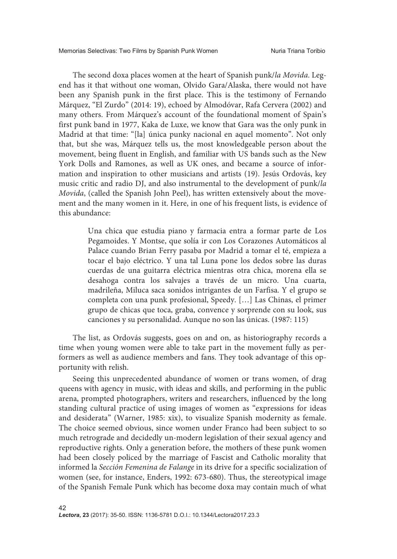The second doxa places women at the heart of Spanish punk/la Movida. Legend has it that without one woman, Olvido Gara/Alaska, there would not have been any Spanish punk in the first place. This is the testimony of Fernando Márquez, "El Zurdo" (2014: 19), echoed by Almodóvar, Rafa Cervera (2002) and many others. From Márquez's account of the foundational moment of Spain's first punk band in 1977, Kaka de Luxe, we know that Gara was the only punk in Madrid at that time: "[la] única punky nacional en aquel momento". Not only that, but she was, Márquez tells us, the most knowledgeable person about the movement, being fluent in English, and familiar with US bands such as the New York Dolls and Ramones, as well as UK ones, and became a source of information and inspiration to other musicians and artists (19). Jesús Ordovás, key music critic and radio DJ, and also instrumental to the development of punk/la Movida, (called the Spanish John Peel), has written extensively about the movement and the many women in it. Here, in one of his frequent lists, is evidence of this abundance:

> Una chica que estudia piano y farmacia entra a formar parte de Los Pegamoides. Y Montse, que solía ir con Los Corazones Automáticos al Palace cuando Brian Ferry pasaba por Madrid a tomar el té, empieza a tocar el bajo eléctrico. Y una tal Luna pone los dedos sobre las duras cuerdas de una guitarra eléctrica mientras otra chica, morena ella se desahoga contra los salvajes a través de un micro. Una cuarta, madrileña, Miluca saca sonidos intrigantes de un Farfisa. Y el grupo se completa con una punk profesional, Speedy. […] Las Chinas, el primer grupo de chicas que toca, graba, convence y sorprende con su look, sus canciones y su personalidad. Aunque no son las únicas. (1987: 115)

The list, as Ordovás suggests, goes on and on, as historiography records a time when young women were able to take part in the movement fully as performers as well as audience members and fans. They took advantage of this opportunity with relish.

Seeing this unprecedented abundance of women or trans women, of drag queens with agency in music, with ideas and skills, and performing in the public arena, prompted photographers, writers and researchers, influenced by the long standing cultural practice of using images of women as "expressions for ideas and desiderata" (Warner, 1985: xix), to visualize Spanish modernity as female. The choice seemed obvious, since women under Franco had been subject to so much retrograde and decidedly un-modern legislation of their sexual agency and reproductive rights. Only a generation before, the mothers of these punk women had been closely policed by the marriage of Fascist and Catholic morality that informed la Sección Femenina de Falange in its drive for a specific socialization of women (see, for instance, Enders, 1992: 673-680). Thus, the stereotypical image of the Spanish Female Punk which has become doxa may contain much of what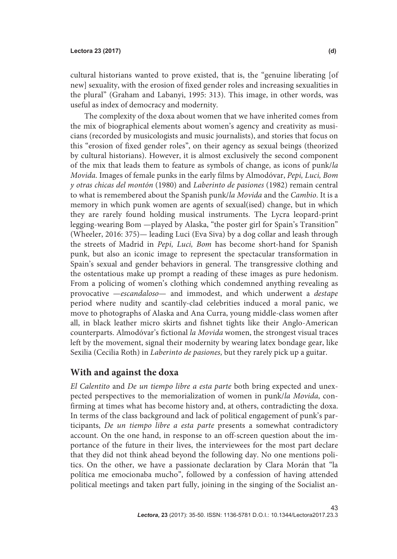cultural historians wanted to prove existed, that is, the "genuine liberating [of new] sexuality, with the erosion of fixed gender roles and increasing sexualities in the plural" (Graham and Labanyi, 1995: 313). This image, in other words, was useful as index of democracy and modernity.

The complexity of the doxa about women that we have inherited comes from the mix of biographical elements about women's agency and creativity as musicians (recorded by musicologists and music journalists), and stories that focus on this "erosion of fixed gender roles", on their agency as sexual beings (theorized by cultural historians). However, it is almost exclusively the second component of the mix that leads them to feature as symbols of change, as icons of punk/la Movida. Images of female punks in the early films by Almodóvar, Pepi, Luci, Bom y otras chicas del montón (1980) and Laberinto de pasiones (1982) remain central to what is remembered about the Spanish punk/la Movida and the Cambio. It is a memory in which punk women are agents of sexual(ised) change, but in which they are rarely found holding musical instruments. The Lycra leopard-print legging-wearing Bom —played by Alaska, "the poster girl for Spain's Transition" (Wheeler, 2016: 375)— leading Luci (Eva Siva) by a dog collar and leash through the streets of Madrid in Pepi, Luci, Bom has become short-hand for Spanish punk, but also an iconic image to represent the spectacular transformation in Spain's sexual and gender behaviors in general. The transgressive clothing and the ostentatious make up prompt a reading of these images as pure hedonism. From a policing of women's clothing which condemned anything revealing as provocative —escandaloso— and immodest, and which underwent a destape period where nudity and scantily-clad celebrities induced a moral panic, we move to photographs of Alaska and Ana Curra, young middle-class women after all, in black leather micro skirts and fishnet tights like their Anglo-American counterparts. Almodóvar's fictional la Movida women, the strongest visual traces left by the movement, signal their modernity by wearing latex bondage gear, like Sexilia (Cecilia Roth) in Laberinto de pasiones, but they rarely pick up a guitar.

### **With and against the doxa**

El Calentito and De un tiempo libre a esta parte both bring expected and unexpected perspectives to the memorialization of women in punk/la Movida, confirming at times what has become history and, at others, contradicting the doxa. In terms of the class background and lack of political engagement of punk's participants, De un tiempo libre a esta parte presents a somewhat contradictory account. On the one hand, in response to an off-screen question about the importance of the future in their lives, the interviewees for the most part declare that they did not think ahead beyond the following day. No one mentions politics. On the other, we have a passionate declaration by Clara Morán that "la política me emocionaba mucho", followed by a confession of having attended political meetings and taken part fully, joining in the singing of the Socialist an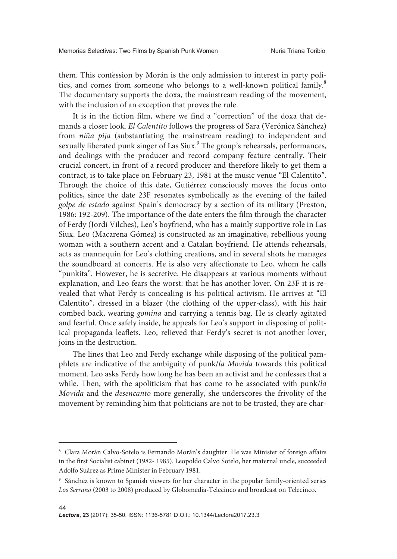them. This confession by Morán is the only admission to interest in party politics, and comes from someone who belongs to a well-known political family. The documentary supports the doxa, the mainstream reading of the movement, with the inclusion of an exception that proves the rule.

It is in the fiction film, where we find a "correction" of the doxa that demands a closer look. El Calentito follows the progress of Sara (Verónica Sánchez) from niña pija (substantiating the mainstream reading) to independent and sexually liberated punk singer of Las Siux.<sup>9</sup> The group's rehearsals, performances, and dealings with the producer and record company feature centrally. Their crucial concert, in front of a record producer and therefore likely to get them a contract, is to take place on February 23, 1981 at the music venue "El Calentito". Through the choice of this date, Gutiérrez consciously moves the focus onto politics, since the date 23F resonates symbolically as the evening of the failed golpe de estado against Spain's democracy by a section of its military (Preston, 1986: 192-209). The importance of the date enters the film through the character of Ferdy (Jordi Vilches), Leo's boyfriend, who has a mainly supportive role in Las Siux. Leo (Macarena Gómez) is constructed as an imaginative, rebellious young woman with a southern accent and a Catalan boyfriend. He attends rehearsals, acts as mannequin for Leo's clothing creations, and in several shots he manages the soundboard at concerts. He is also very affectionate to Leo, whom he calls "punkita". However, he is secretive. He disappears at various moments without explanation, and Leo fears the worst: that he has another lover. On 23F it is revealed that what Ferdy is concealing is his political activism. He arrives at "El Calentito", dressed in a blazer (the clothing of the upper-class), with his hair combed back, wearing gomina and carrying a tennis bag. He is clearly agitated and fearful. Once safely inside, he appeals for Leo's support in disposing of political propaganda leaflets. Leo, relieved that Ferdy's secret is not another lover, joins in the destruction.

The lines that Leo and Ferdy exchange while disposing of the political pamphlets are indicative of the ambiguity of punk/la Movida towards this political moment. Leo asks Ferdy how long he has been an activist and he confesses that a while. Then, with the apoliticism that has come to be associated with punk/la Movida and the desencanto more generally, she underscores the frivolity of the movement by reminding him that politicians are not to be trusted, they are char-

<sup>8</sup> Clara Morán Calvo-Sotelo is Fernando Morán's daughter. He was Minister of foreign affairs in the first Socialist cabinet (1982- 1985). Leopoldo Calvo Sotelo, her maternal uncle, succeeded Adolfo Suárez as Prime Minister in February 1981.

<sup>9</sup> Sánchez is known to Spanish viewers for her character in the popular family-oriented series Los Serrano (2003 to 2008) produced by Globomedia-Telecinco and broadcast on Telecinco.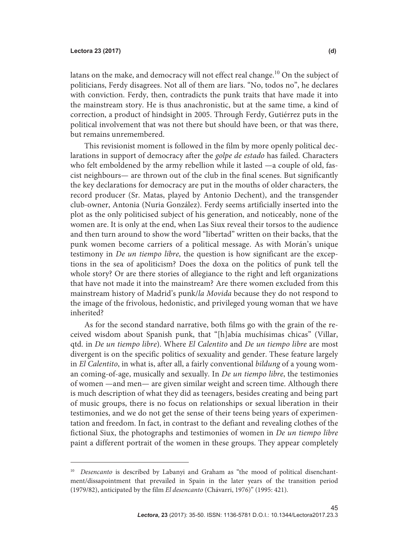latans on the make, and democracy will not effect real change.<sup>10</sup> On the subject of politicians, Ferdy disagrees. Not all of them are liars. "No, todos no", he declares with conviction. Ferdy, then, contradicts the punk traits that have made it into the mainstream story. He is thus anachronistic, but at the same time, a kind of correction, a product of hindsight in 2005. Through Ferdy, Gutiérrez puts in the political involvement that was not there but should have been, or that was there, but remains unremembered.

This revisionist moment is followed in the film by more openly political declarations in support of democracy after the golpe de estado has failed. Characters who felt emboldened by the army rebellion while it lasted —a couple of old, fascist neighbours— are thrown out of the club in the final scenes. But significantly the key declarations for democracy are put in the mouths of older characters, the record producer (Sr. Matas, played by Antonio Dechent), and the transgender club-owner, Antonia (Nuria González). Ferdy seems artificially inserted into the plot as the only politicised subject of his generation, and noticeably, none of the women are. It is only at the end, when Las Siux reveal their torsos to the audience and then turn around to show the word "libertad" written on their backs, that the punk women become carriers of a political message. As with Morán's unique testimony in De un tiempo libre, the question is how significant are the exceptions in the sea of apoliticism? Does the doxa on the politics of punk tell the whole story? Or are there stories of allegiance to the right and left organizations that have not made it into the mainstream? Are there women excluded from this mainstream history of Madrid's punk/la Movida because they do not respond to the image of the frivolous, hedonistic, and privileged young woman that we have inherited?

As for the second standard narrative, both films go with the grain of the received wisdom about Spanish punk, that "[h]abía muchísimas chicas" (Villar, qtd. in De un tiempo libre). Where El Calentito and De un tiempo libre are most divergent is on the specific politics of sexuality and gender. These feature largely in El Calentito, in what is, after all, a fairly conventional bildung of a young woman coming-of-age, musically and sexually. In De un tiempo libre, the testimonies of women —and men— are given similar weight and screen time. Although there is much description of what they did as teenagers, besides creating and being part of music groups, there is no focus on relationships or sexual liberation in their testimonies, and we do not get the sense of their teens being years of experimentation and freedom. In fact, in contrast to the defiant and revealing clothes of the fictional Siux, the photographs and testimonies of women in De un tiempo libre paint a different portrait of the women in these groups. They appear completely

<sup>&</sup>lt;sup>10</sup> Desencanto is described by Labanyi and Graham as "the mood of political disenchantment/dissapointment that prevailed in Spain in the later years of the transition period (1979/82), anticipated by the film El desencanto (Chávarri, 1976)" (1995: 421).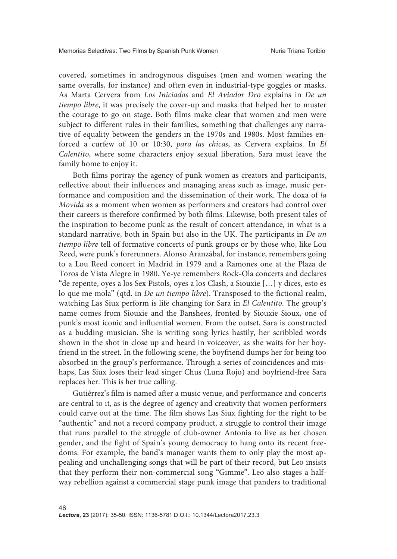covered, sometimes in androgynous disguises (men and women wearing the same overalls, for instance) and often even in industrial-type goggles or masks. As Marta Cervera from Los Iniciados and El Aviador Dro explains in De un tiempo libre, it was precisely the cover-up and masks that helped her to muster the courage to go on stage. Both films make clear that women and men were subject to different rules in their families, something that challenges any narrative of equality between the genders in the 1970s and 1980s. Most families enforced a curfew of 10 or 10:30, para las chicas, as Cervera explains. In El Calentito, where some characters enjoy sexual liberation, Sara must leave the family home to enjoy it.

Both films portray the agency of punk women as creators and participants, reflective about their influences and managing areas such as image, music performance and composition and the dissemination of their work. The doxa of la Movida as a moment when women as performers and creators had control over their careers is therefore confirmed by both films. Likewise, both present tales of the inspiration to become punk as the result of concert attendance, in what is a standard narrative, both in Spain but also in the UK. The participants in De un tiempo libre tell of formative concerts of punk groups or by those who, like Lou Reed, were punk's forerunners. Alonso Aranzábal, for instance, remembers going to a Lou Reed concert in Madrid in 1979 and a Ramones one at the Plaza de Toros de Vista Alegre in 1980. Ye-ye remembers Rock-Ola concerts and declares "de repente, oyes a los Sex Pistols, oyes a los Clash, a Siouxie […] y dices, esto es lo que me mola" (qtd. in De un tiempo libre). Transposed to the fictional realm, watching Las Siux perform is life changing for Sara in El Calentito. The group's name comes from Siouxie and the Banshees, fronted by Siouxie Sioux, one of punk's most iconic and influential women. From the outset, Sara is constructed as a budding musician. She is writing song lyrics hastily, her scribbled words shown in the shot in close up and heard in voiceover, as she waits for her boyfriend in the street. In the following scene, the boyfriend dumps her for being too absorbed in the group's performance. Through a series of coincidences and mishaps, Las Siux loses their lead singer Chus (Luna Rojo) and boyfriend-free Sara replaces her. This is her true calling.

Gutiérrez's film is named after a music venue, and performance and concerts are central to it, as is the degree of agency and creativity that women performers could carve out at the time. The film shows Las Siux fighting for the right to be "authentic" and not a record company product, a struggle to control their image that runs parallel to the struggle of club-owner Antonia to live as her chosen gender, and the fight of Spain's young democracy to hang onto its recent freedoms. For example, the band's manager wants them to only play the most appealing and unchallenging songs that will be part of their record, but Leo insists that they perform their non-commercial song "Gimme". Leo also stages a halfway rebellion against a commercial stage punk image that panders to traditional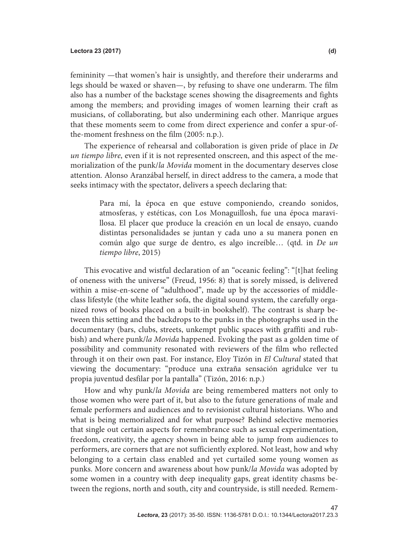femininity —that women's hair is unsightly, and therefore their underarms and legs should be waxed or shaven—, by refusing to shave one underarm. The film also has a number of the backstage scenes showing the disagreements and fights among the members; and providing images of women learning their craft as musicians, of collaborating, but also undermining each other. Manrique argues that these moments seem to come from direct experience and confer a spur-ofthe-moment freshness on the film (2005: n.p.).

The experience of rehearsal and collaboration is given pride of place in De un tiempo libre, even if it is not represented onscreen, and this aspect of the memorialization of the punk/la Movida moment in the documentary deserves close attention. Alonso Aranzábal herself, in direct address to the camera, a mode that seeks intimacy with the spectator, delivers a speech declaring that:

> Para mí, la época en que estuve componiendo, creando sonidos, atmosferas, y estéticas, con Los Monaguillosh, fue una época maravillosa. El placer que produce la creación en un local de ensayo, cuando distintas personalidades se juntan y cada uno a su manera ponen en común algo que surge de dentro, es algo increíble… (qtd. in De un tiempo libre, 2015)

This evocative and wistful declaration of an "oceanic feeling": "[t]hat feeling of oneness with the universe" (Freud, 1956: 8) that is sorely missed, is delivered within a mise-en-scene of "adulthood", made up by the accessories of middleclass lifestyle (the white leather sofa, the digital sound system, the carefully organized rows of books placed on a built-in bookshelf). The contrast is sharp between this setting and the backdrops to the punks in the photographs used in the documentary (bars, clubs, streets, unkempt public spaces with graffiti and rubbish) and where punk/la Movida happened. Evoking the past as a golden time of possibility and community resonated with reviewers of the film who reflected through it on their own past. For instance, Eloy Tizón in El Cultural stated that viewing the documentary: "produce una extraña sensación agridulce ver tu propia juventud desfilar por la pantalla" (Tizón, 2016: n.p.)

How and why punk/la Movida are being remembered matters not only to those women who were part of it, but also to the future generations of male and female performers and audiences and to revisionist cultural historians. Who and what is being memorialized and for what purpose? Behind selective memories that single out certain aspects for remembrance such as sexual experimentation, freedom, creativity, the agency shown in being able to jump from audiences to performers, are corners that are not sufficiently explored. Not least, how and why belonging to a certain class enabled and yet curtailed some young women as punks. More concern and awareness about how punk/la Movida was adopted by some women in a country with deep inequality gaps, great identity chasms between the regions, north and south, city and countryside, is still needed. Remem-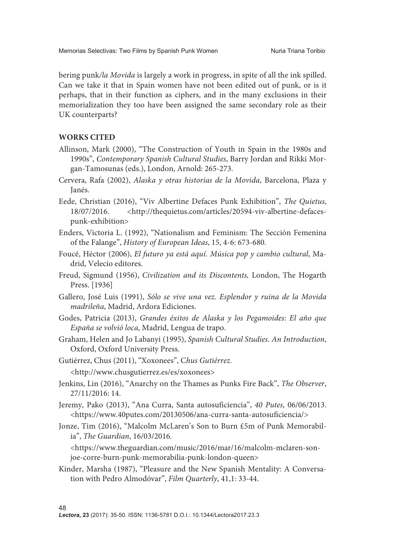bering punk/la Movida is largely a work in progress, in spite of all the ink spilled. Can we take it that in Spain women have not been edited out of punk, or is it perhaps, that in their function as ciphers, and in the many exclusions in their memorialization they too have been assigned the same secondary role as their UK counterparts?

### **WORKS CITED**

- Allinson, Mark (2000), "The Construction of Youth in Spain in the 1980s and 1990s", Contemporary Spanish Cultural Studies, Barry Jordan and Rikki Morgan-Tamosunas (eds.), London, Arnold: 265-273.
- Cervera, Rafa (2002), Alaska y otras historias de la Movida, Barcelona, Plaza y Janés.
- Eede, Christian (2016), "Viv Albertine Defaces Punk Exhibition", The Quietus, 18/07/2016. <http://thequietus.com/articles/20594-viv-albertine-defacespunk-exhibition>
- Enders, Victoria L. (1992), "Nationalism and Feminism: The Sección Femenina of the Falange", History of European Ideas, 15, 4-6: 673-680.
- Foucé, Héctor (2006), El futuro ya está aquí. Música pop y cambio cultural, Madrid, Velecio editores.
- Freud, Sigmund (1956), Civilization and its Discontents, London, The Hogarth Press. [1936]
- Gallero, José Luis (1991), Sólo se vive una vez. Esplendor y ruina de la Movida madrileña, Madrid, Ardora Ediciones.
- Godes, Patricia (2013), Grandes éxitos de Alaska y los Pegamoides: El año que España se volvió loca, Madrid, Lengua de trapo.
- Graham, Helen and Jo Labanyi (1995), Spanish Cultural Studies. An Introduction, Oxford, Oxford University Press.
- Gutiérrez, Chus (2011), "Xoxonees", Chus Gutiérrez.
	- <http://www.chusgutierrez.es/es/xoxonees>
- Jenkins, Lin (2016), "Anarchy on the Thames as Punks Fire Back", The Observer, 27/11/2016: 14.
- Jeremy, Pako (2013), "Ana Curra, Santa autosuficiencia", 40 Putes, 06/06/2013. <https://www.40putes.com/20130506/ana-curra-santa-autosuficiencia/>
- Jonze, Tim (2016), "Malcolm McLaren's Son to Burn £5m of Punk Memorabilia", The Guardian, 16/03/2016.

<https://www.theguardian.com/music/2016/mar/16/malcolm-mclaren-sonjoe-corre-burn-punk-memorabilia-punk-london-queen>

Kinder, Marsha (1987), "Pleasure and the New Spanish Mentality: A Conversation with Pedro Almodóvar", Film Quarterly, 41,1: 33-44.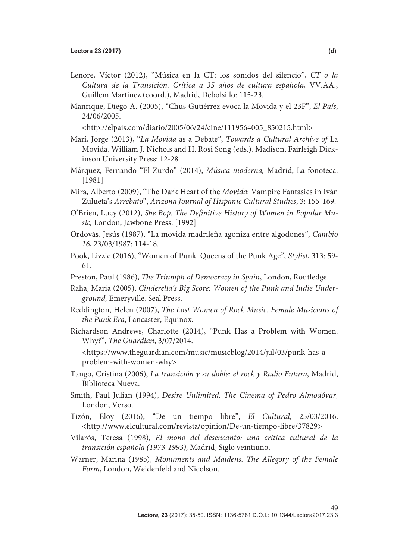- Lenore, Víctor (2012), "Música en la CT: los sonidos del silencio", CT o la Cultura de la Transición. Crítica a 35 años de cultura española, VV.AA., Guillem Martínez (coord.), Madrid, Debolsillo: 115-23.
- Manrique, Diego A. (2005), "Chus Gutiérrez evoca la Movida y el 23F", El País, 24/06/2005.

<http://elpais.com/diario/2005/06/24/cine/1119564005\_850215.html>

- Marí, Jorge (2013), "La Movida as a Debate", Towards a Cultural Archive of La Movida, William J. Nichols and H. Rosi Song (eds.), Madison, Fairleigh Dickinson University Press: 12-28.
- Márquez, Fernando "El Zurdo" (2014), Música moderna, Madrid, La fonoteca. [1981]
- Mira, Alberto (2009), "The Dark Heart of the Movida: Vampire Fantasies in Iván Zulueta's Arrebato", Arizona Journal of Hispanic Cultural Studies, 3: 155-169.
- O'Brien, Lucy (2012), She Bop. The Definitive History of Women in Popular Music, London, Jawbone Press. [1992]
- Ordovás, Jesús (1987), "La movida madrileña agoniza entre algodones", Cambio 16, 23/03/1987: 114-18.
- Pook, Lizzie (2016), "Women of Punk. Queens of the Punk Age", Stylist, 313: 59- 61.
- Preston, Paul (1986), The Triumph of Democracy in Spain, London, Routledge.
- Raha, Maria (2005), Cinderella's Big Score: Women of the Punk and Indie Underground, Emeryville, Seal Press.
- Reddington, Helen (2007), The Lost Women of Rock Music. Female Musicians of the Punk Era, Lancaster, Equinox.
- Richardson Andrews, Charlotte (2014), "Punk Has a Problem with Women. Why?", The Guardian, 3/07/2014.

 <https://www.theguardian.com/music/musicblog/2014/jul/03/punk-has-aproblem-with-women-why>

- Tango, Cristina (2006), La transición y su doble: el rock y Radio Futura, Madrid, Biblioteca Nueva.
- Smith, Paul Julian (1994), Desire Unlimited. The Cinema of Pedro Almodóvar, London, Verso.
- Tizón, Eloy (2016), "De un tiempo libre", El Cultural, 25/03/2016. <http://www.elcultural.com/revista/opinion/De-un-tiempo-libre/37829>
- Vilarós, Teresa (1998), El mono del desencanto: una crítica cultural de la transición española (1973-1993), Madrid, Siglo veintiuno.
- Warner, Marina (1985), Monuments and Maidens. The Allegory of the Female Form, London, Weidenfeld and Nicolson.

 $\Delta$ 9